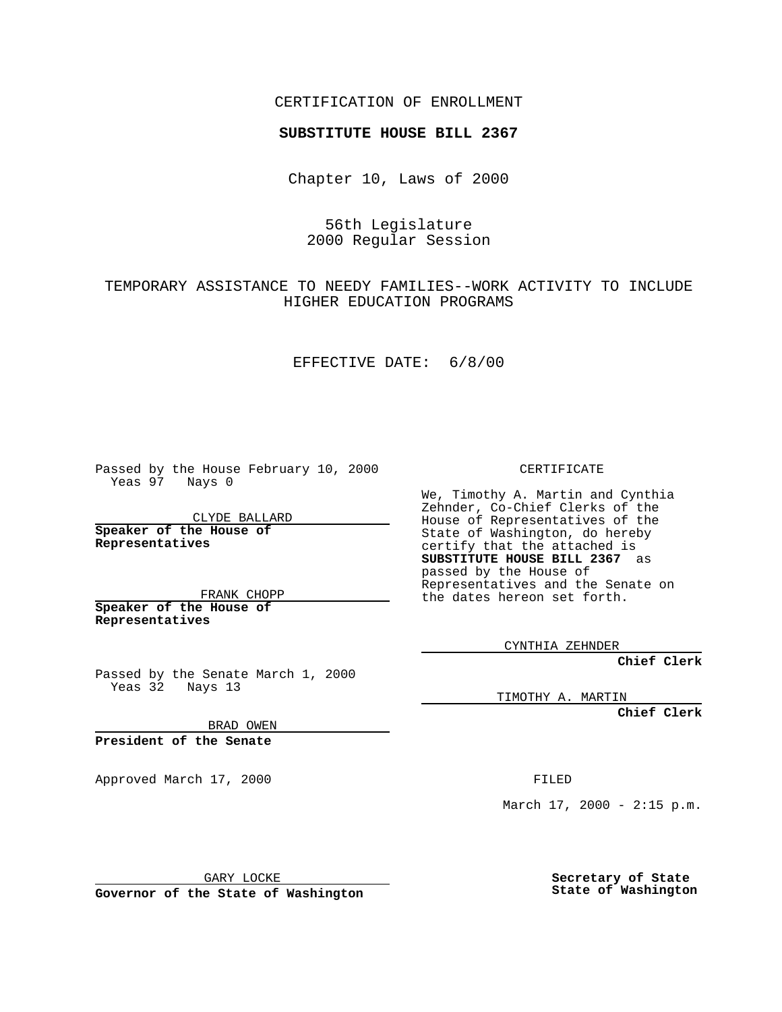CERTIFICATION OF ENROLLMENT

# **SUBSTITUTE HOUSE BILL 2367**

Chapter 10, Laws of 2000

### 56th Legislature 2000 Regular Session

# TEMPORARY ASSISTANCE TO NEEDY FAMILIES--WORK ACTIVITY TO INCLUDE HIGHER EDUCATION PROGRAMS

#### EFFECTIVE DATE: 6/8/00

Passed by the House February 10, 2000 Yeas 97 Nays 0

CLYDE BALLARD **Speaker of the House of Representatives**

FRANK CHOPP **Speaker of the House of Representatives**

Passed by the Senate March 1, 2000  $Yeas 32$  Nays 13

CERTIFICATE

We, Timothy A. Martin and Cynthia Zehnder, Co-Chief Clerks of the House of Representatives of the State of Washington, do hereby certify that the attached is **SUBSTITUTE HOUSE BILL 2367** as passed by the House of Representatives and the Senate on the dates hereon set forth.

CYNTHIA ZEHNDER

**Chief Clerk**

TIMOTHY A. MARTIN

**Chief Clerk**

BRAD OWEN

**President of the Senate**

Approved March 17, 2000 FILED

March  $17, 2000 - 2:15 p.m.$ 

GARY LOCKE

**Governor of the State of Washington**

**Secretary of State State of Washington**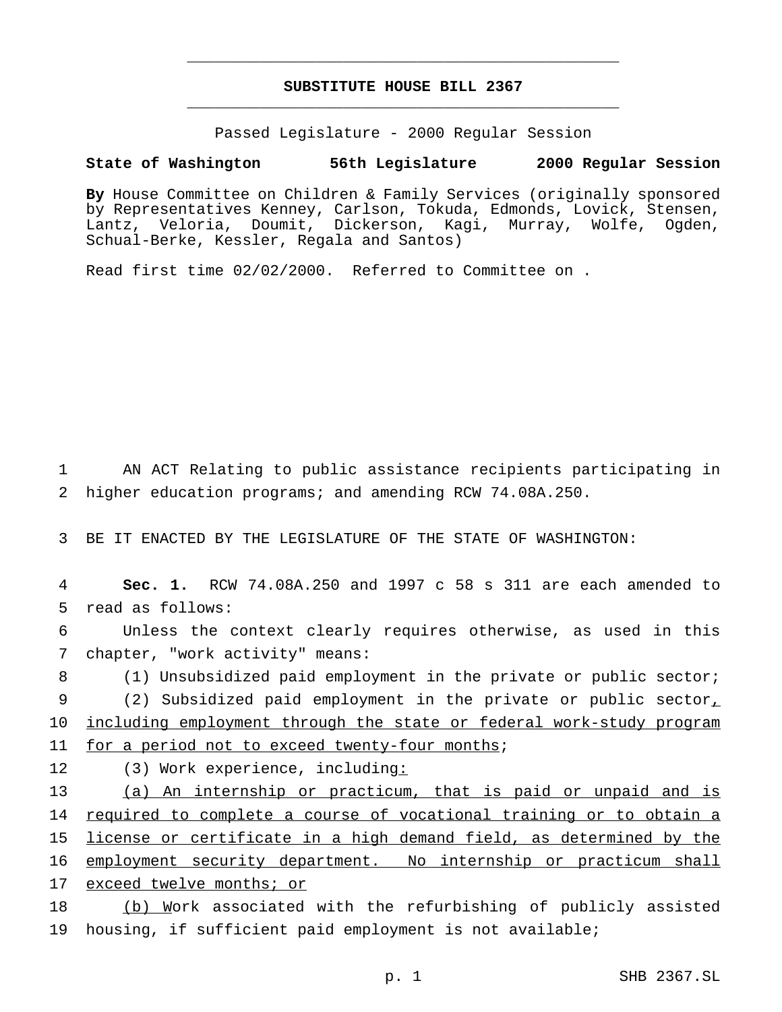## **SUBSTITUTE HOUSE BILL 2367** \_\_\_\_\_\_\_\_\_\_\_\_\_\_\_\_\_\_\_\_\_\_\_\_\_\_\_\_\_\_\_\_\_\_\_\_\_\_\_\_\_\_\_\_\_\_\_

\_\_\_\_\_\_\_\_\_\_\_\_\_\_\_\_\_\_\_\_\_\_\_\_\_\_\_\_\_\_\_\_\_\_\_\_\_\_\_\_\_\_\_\_\_\_\_

Passed Legislature - 2000 Regular Session

#### **State of Washington 56th Legislature 2000 Regular Session**

**By** House Committee on Children & Family Services (originally sponsored by Representatives Kenney, Carlson, Tokuda, Edmonds, Lovick, Stensen, Lantz, Veloria, Doumit, Dickerson, Kagi, Murray, Wolfe, Ogden, Schual-Berke, Kessler, Regala and Santos)

Read first time 02/02/2000. Referred to Committee on .

1 AN ACT Relating to public assistance recipients participating in 2 higher education programs; and amending RCW 74.08A.250.

3 BE IT ENACTED BY THE LEGISLATURE OF THE STATE OF WASHINGTON:

4 **Sec. 1.** RCW 74.08A.250 and 1997 c 58 s 311 are each amended to 5 read as follows:

6 Unless the context clearly requires otherwise, as used in this 7 chapter, "work activity" means:

8 (1) Unsubsidized paid employment in the private or public sector; 9 (2) Subsidized paid employment in the private or public sector, 10 including employment through the state or federal work-study program

11 for a period not to exceed twenty-four months;

12 (3) Work experience, including:

13 (a) An internship or practicum, that is paid or unpaid and is 14 required to complete a course of vocational training or to obtain a 15 license or certificate in a high demand field, as determined by the 16 employment security department. No internship or practicum shall 17 exceed twelve months; or

18 (b) Work associated with the refurbishing of publicly assisted 19 housing, if sufficient paid employment is not available;